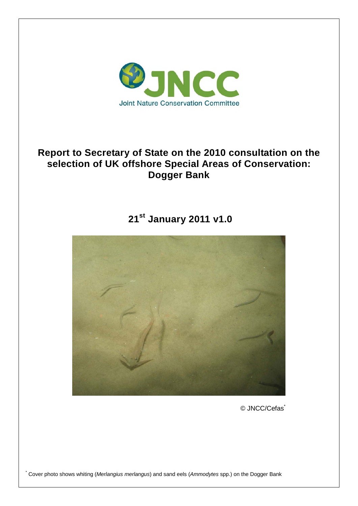

## **Report to Secretary of State on the 2010 consultation on the selection of UK offshore Special Areas of Conservation: Dogger Bank**

# **21st January 2011 v1.0**



© JNCC/Cefas\*

\* Cover photo shows whiting (*Merlangius merlangus*) and sand eels (*Ammodytes* spp.) on the Dogger Bank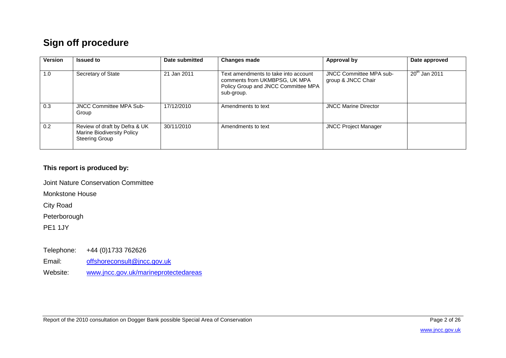# **Sign off procedure**

| Version | <b>Issued to</b>                                                                     | Date submitted | <b>Changes made</b>                                                                                                        | Approval by                                          | Date approved   |
|---------|--------------------------------------------------------------------------------------|----------------|----------------------------------------------------------------------------------------------------------------------------|------------------------------------------------------|-----------------|
| 1.0     | Secretary of State                                                                   | 21 Jan 2011    | Text amendments to take into account<br>comments from UKMBPSG, UK MPA<br>Policy Group and JNCC Committee MPA<br>sub-group. | <b>JNCC Committee MPA sub-</b><br>group & JNCC Chair | $20th$ Jan 2011 |
| 0.3     | <b>JNCC Committee MPA Sub-</b><br>Group                                              | 17/12/2010     | Amendments to text                                                                                                         | <b>JNCC Marine Director</b>                          |                 |
| 0.2     | Review of draft by Defra & UK<br>Marine Biodiversity Policy<br><b>Steering Group</b> | 30/11/2010     | Amendments to text                                                                                                         | <b>JNCC Project Manager</b>                          |                 |

## **This report is produced by:**

Joint Nature Conservation Committee

Monkstone House

City Road

Peterborough

PE1 1JY

- Telephone: +44 (0)1733 762626
- Email: [offshoreconsult@jncc.gov.uk](mailto:offshoreconsult@jncc.gov.uk)

Website: [www.jncc.gov.uk/marineprotectedareas](http://www.jncc.gov.uk/marineprotectedareas)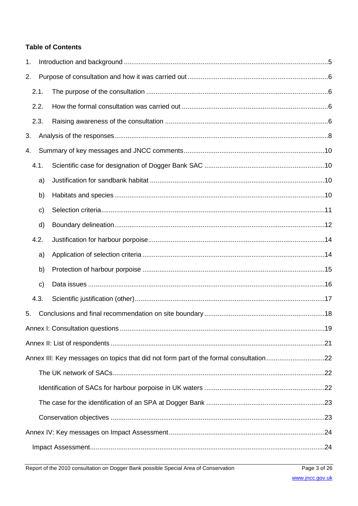## **Table of Contents**

| 1. |              |                                                                                       |  |  |
|----|--------------|---------------------------------------------------------------------------------------|--|--|
| 2. |              |                                                                                       |  |  |
|    | 2.1.         |                                                                                       |  |  |
|    | 2.2.         |                                                                                       |  |  |
|    | 2.3.         |                                                                                       |  |  |
| 3. |              |                                                                                       |  |  |
| 4. |              |                                                                                       |  |  |
|    | 4.1.         |                                                                                       |  |  |
|    | a)           |                                                                                       |  |  |
|    | b)           |                                                                                       |  |  |
|    | c)           |                                                                                       |  |  |
|    | d)           |                                                                                       |  |  |
|    | 4.2.         |                                                                                       |  |  |
|    | a)           |                                                                                       |  |  |
|    | b)           |                                                                                       |  |  |
|    | $\mathbf{C}$ |                                                                                       |  |  |
|    | 4.3.         |                                                                                       |  |  |
| 5. |              |                                                                                       |  |  |
|    |              |                                                                                       |  |  |
|    |              |                                                                                       |  |  |
|    |              | Annex III: Key messages on topics that did not form part of the formal consultation22 |  |  |
|    |              |                                                                                       |  |  |
|    |              |                                                                                       |  |  |
|    |              |                                                                                       |  |  |
|    |              |                                                                                       |  |  |
|    |              |                                                                                       |  |  |
|    |              |                                                                                       |  |  |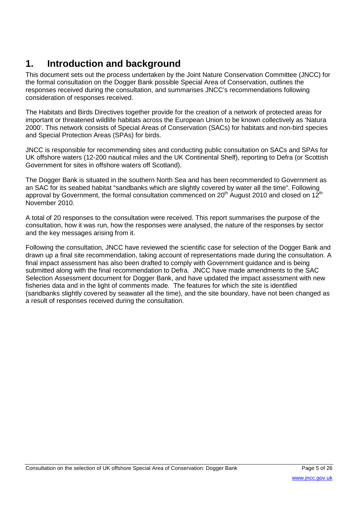# **1. Introduction and background**

This document sets out the process undertaken by the Joint Nature Conservation Committee (JNCC) for the formal consultation on the Dogger Bank possible Special Area of Conservation, outlines the responses received during the consultation, and summarises JNCC's recommendations following consideration of responses received.

The Habitats and Birds Directives together provide for the creation of a network of protected areas for important or threatened wildlife habitats across the European Union to be known collectively as 'Natura 2000'. This network consists of Special Areas of Conservation (SACs) for habitats and non-bird species and Special Protection Areas (SPAs) for birds.

JNCC is responsible for recommending sites and conducting public consultation on SACs and SPAs for UK offshore waters (12-200 nautical miles and the UK Continental Shelf), reporting to Defra (or Scottish Government for sites in offshore waters off Scotland).

The Dogger Bank is situated in the southern North Sea and has been recommended to Government as an SAC for its seabed habitat "sandbanks which are slightly covered by water all the time". Following approval by Government, the formal consultation commenced on 20<sup>th</sup> August 2010 and closed on 12<sup>th</sup> November 2010.

A total of 20 responses to the consultation were received. This report summarises the purpose of the consultation, how it was run, how the responses were analysed, the nature of the responses by sector and the key messages arising from it.

Following the consultation, JNCC have reviewed the scientific case for selection of the Dogger Bank and drawn up a final site recommendation, taking account of representations made during the consultation. A final impact assessment has also been drafted to comply with Government guidance and is being submitted along with the final recommendation to Defra. JNCC have made amendments to the SAC Selection Assessment document for Dogger Bank, and have updated the impact assessment with new fisheries data and in the light of comments made. The features for which the site is identified (sandbanks slightly covered by seawater all the time), and the site boundary, have not been changed as a result of responses received during the consultation.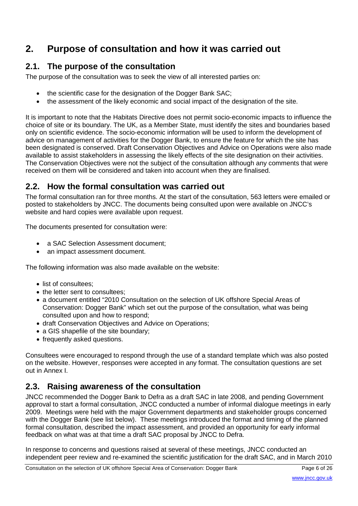# **2. Purpose of consultation and how it was carried out**

## **2.1. The purpose of the consultation**

The purpose of the consultation was to seek the view of all interested parties on:

- the scientific case for the designation of the Dogger Bank SAC;
- the assessment of the likely economic and social impact of the designation of the site.

It is important to note that the Habitats Directive does not permit socio-economic impacts to influence the choice of site or its boundary. The UK, as a Member State, must identify the sites and boundaries based only on scientific evidence. The socio-economic information will be used to inform the development of advice on management of activities for the Dogger Bank, to ensure the feature for which the site has been designated is conserved. Draft Conservation Objectives and Advice on Operations were also made available to assist stakeholders in assessing the likely effects of the site designation on their activities. The Conservation Objectives were not the subject of the consultation although any comments that were received on them will be considered and taken into account when they are finalised.

## **2.2. How the formal consultation was carried out**

The formal consultation ran for three months. At the start of the consultation, 563 letters were emailed or posted to stakeholders by JNCC. The documents being consulted upon were available on JNCC's website and hard copies were available upon request.

The documents presented for consultation were:

- a SAC Selection Assessment document;
- an impact assessment document.

The following information was also made available on the website:

- list of consultees:
- the letter sent to consultees:
- a document entitled "2010 Consultation on the selection of UK offshore Special Areas of Conservation: Dogger Bank" which set out the purpose of the consultation, what was being consulted upon and how to respond;
- draft Conservation Objectives and Advice on Operations;
- a GIS shapefile of the site boundary:
- frequently asked questions.

Consultees were encouraged to respond through the use of a standard template which was also posted on the website. However, responses were accepted in any format. The consultation questions are set out in Annex I.

## **2.3. Raising awareness of the consultation**

JNCC recommended the Dogger Bank to Defra as a draft SAC in late 2008, and pending Government approval to start a formal consultation, JNCC conducted a number of informal dialogue meetings in early 2009. Meetings were held with the major Government departments and stakeholder groups concerned with the Dogger Bank (see list below). These meetings introduced the format and timing of the planned formal consultation, described the impact assessment, and provided an opportunity for early informal feedback on what was at that time a draft SAC proposal by JNCC to Defra.

In response to concerns and questions raised at several of these meetings, JNCC conducted an independent peer review and re-examined the scientific justification for the draft SAC, and in March 2010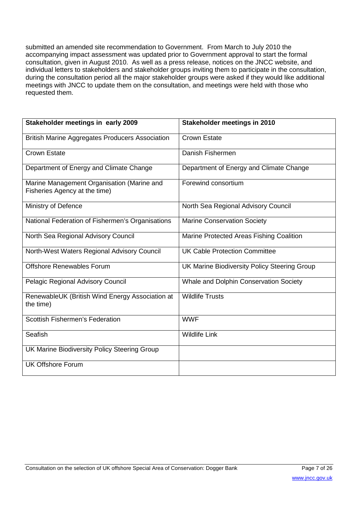submitted an amended site recommendation to Government. From March to July 2010 the accompanying impact assessment was updated prior to Government approval to start the formal consultation, given in August 2010. As well as a press release, notices on the JNCC website, and individual letters to stakeholders and stakeholder groups inviting them to participate in the consultation, during the consultation period all the major stakeholder groups were asked if they would like additional meetings with JNCC to update them on the consultation, and meetings were held with those who requested them.

| Stakeholder meetings in early 2009                                          | Stakeholder meetings in 2010                 |
|-----------------------------------------------------------------------------|----------------------------------------------|
| <b>British Marine Aggregates Producers Association</b>                      | <b>Crown Estate</b>                          |
| <b>Crown Estate</b>                                                         | Danish Fishermen                             |
| Department of Energy and Climate Change                                     | Department of Energy and Climate Change      |
| Marine Management Organisation (Marine and<br>Fisheries Agency at the time) | Forewind consortium                          |
| Ministry of Defence                                                         | North Sea Regional Advisory Council          |
| National Federation of Fishermen's Organisations                            | <b>Marine Conservation Society</b>           |
| North Sea Regional Advisory Council                                         | Marine Protected Areas Fishing Coalition     |
| North-West Waters Regional Advisory Council                                 | <b>UK Cable Protection Committee</b>         |
| <b>Offshore Renewables Forum</b>                                            | UK Marine Biodiversity Policy Steering Group |
| Pelagic Regional Advisory Council                                           | Whale and Dolphin Conservation Society       |
| RenewableUK (British Wind Energy Association at<br>the time)                | <b>Wildlife Trusts</b>                       |
| <b>Scottish Fishermen's Federation</b>                                      | <b>WWF</b>                                   |
| Seafish                                                                     | <b>Wildlife Link</b>                         |
| UK Marine Biodiversity Policy Steering Group                                |                                              |
| <b>UK Offshore Forum</b>                                                    |                                              |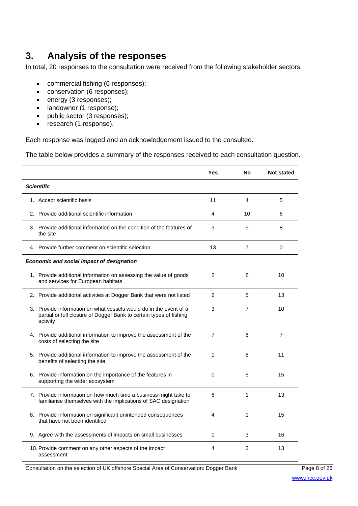## **3. Analysis of the responses**

In total, 20 responses to the consultation were received from the following stakeholder sectors:

- commercial fishing (6 responses);
- conservation (6 responses);
- energy (3 responses);
- landowner (1 response);
- public sector (3 responses);
- research (1 response).

Each response was logged and an acknowledgement issued to the consultee.

The table below provides a summary of the responses received to each consultation question.

|                                                  |                                                                                                                                                     | <b>Yes</b>     | <b>No</b>      | <b>Not stated</b> |
|--------------------------------------------------|-----------------------------------------------------------------------------------------------------------------------------------------------------|----------------|----------------|-------------------|
| <b>Scientific</b>                                |                                                                                                                                                     |                |                |                   |
|                                                  | 1. Accept scientific basis                                                                                                                          | 11             | 4              | 5                 |
|                                                  | 2. Provide additional scientific information                                                                                                        | 4              | 10             | 6                 |
|                                                  | 3. Provide additional information on the condition of the features of<br>the site                                                                   | 3              | 9              | 8                 |
|                                                  | 4. Provide further comment on scientific selection                                                                                                  | 13             | $\overline{7}$ | $\Omega$          |
| <b>Economic and social impact of designation</b> |                                                                                                                                                     |                |                |                   |
|                                                  | 1. Provide additional information on assessing the value of goods<br>and services for European habitats                                             | $\overline{2}$ | 8              | 10                |
|                                                  | 2. Provide additional activities at Dogger Bank that were not listed                                                                                | $\overline{2}$ | 5              | 13                |
|                                                  | 3. Provide information on what vessels would do in the event of a<br>partial or full closure of Dogger Bank to certain types of fishing<br>activity | 3              | $\overline{7}$ | 10                |
|                                                  | 4. Provide additional information to improve the assessment of the<br>costs of selecting the site                                                   | $\overline{7}$ | 6              | $\overline{7}$    |
|                                                  | 5. Provide additional information to improve the assessment of the<br>benefits of selecting the site                                                | 1              | 8              | 11                |
|                                                  | 6. Provide information on the importance of the features in<br>supporting the wider ecosystem                                                       | 0              | 5              | 15                |
|                                                  | 7. Provide information on how much time a business might take to<br>familiarise themselves with the implications of SAC designation                 | 6              | 1              | 13                |
|                                                  | 8. Provide information on significant unintended consequences<br>that have not been identified                                                      | 4              | 1              | 15                |
|                                                  | 9. Agree with the assessments of impacts on small businesses                                                                                        | 1              | 3              | 16                |
|                                                  | 10. Provide comment on any other aspects of the impact<br>assessment                                                                                | 4              | 3              | 13                |

Consultation on the selection of UK offshore Special Area of Conservation: Dogger Bank Page 8 of 26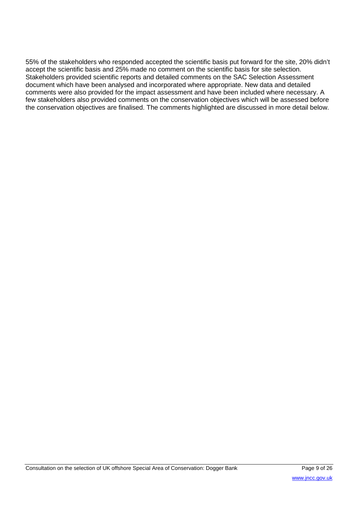55% of the stakeholders who responded accepted the scientific basis put forward for the site, 20% didn't accept the scientific basis and 25% made no comment on the scientific basis for site selection. Stakeholders provided scientific reports and detailed comments on the SAC Selection Assessment document which have been analysed and incorporated where appropriate. New data and detailed comments were also provided for the impact assessment and have been included where necessary. A few stakeholders also provided comments on the conservation objectives which will be assessed before the conservation objectives are finalised. The comments highlighted are discussed in more detail below.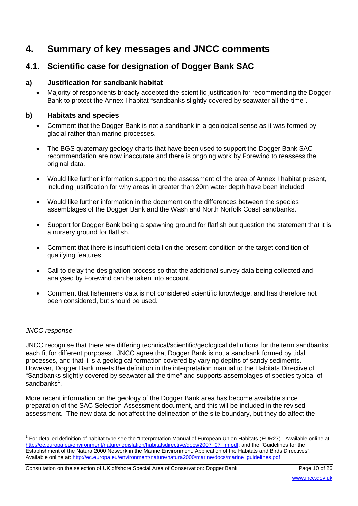## **4. Summary of key messages and JNCC comments**

## **4.1. Scientific case for designation of Dogger Bank SAC**

## **a) Justification for sandbank habitat**

• Majority of respondents broadly accepted the scientific justification for recommending the Dogger Bank to protect the Annex I habitat "sandbanks slightly covered by seawater all the time".

## **b) Habitats and species**

- Comment that the Dogger Bank is not a sandbank in a geological sense as it was formed by glacial rather than marine processes.
- The BGS quaternary geology charts that have been used to support the Dogger Bank SAC recommendation are now inaccurate and there is ongoing work by Forewind to reassess the original data.
- Would like further information supporting the assessment of the area of Annex I habitat present, including justification for why areas in greater than 20m water depth have been included.
- Would like further information in the document on the differences between the species assemblages of the Dogger Bank and the Wash and North Norfolk Coast sandbanks.
- Support for Dogger Bank being a spawning ground for flatfish but question the statement that it is a nursery ground for flatfish.
- Comment that there is insufficient detail on the present condition or the target condition of qualifying features.
- Call to delay the designation process so that the additional survey data being collected and analysed by Forewind can be taken into account.
- Comment that fishermens data is not considered scientific knowledge, and has therefore not been considered, but should be used.

#### *JNCC response*

 $\overline{a}$ 

JNCC recognise that there are differing technical/scientific/geological definitions for the term sandbanks, each fit for different purposes. JNCC agree that Dogger Bank is not a sandbank formed by tidal processes, and that it is a geological formation covered by varying depths of sandy sediments. However, Dogger Bank meets the definition in the interpretation manual to the Habitats Directive of "Sandbanks slightly covered by seawater all the time" and supports assemblages of species typical of sandbanks<sup>[1](#page-9-0)</sup>.

More recent information on the geology of the Dogger Bank area has become available since preparation of the SAC Selection Assessment document, and this will be included in the revised assessment. The new data do not affect the delineation of the site boundary, but they do affect the

<span id="page-9-0"></span> $1$  For detailed definition of habitat type see the "Interpretation Manual of European Union Habitats (EUR27)". Available online at: [http://ec.europa.eu/environment/nature/legislation/habitatsdirective/docs/2007\\_07\\_im.pdf;](http://ec.europa.eu/environment/nature/legislation/habitatsdirective/docs/2007_07_im.pdf) and the "Guidelines for the Establishment of the Natura 2000 Network in the Marine Environment. Application of the Habitats and Birds Directives". Available online at[: http://ec.europa.eu/environment/nature/natura2000/marine/docs/marine\\_guidelines.pdf](http://ec.europa.eu/environment/nature/natura2000/marine/docs/marine_guidelines.pdf)

Consultation on the selection of UK offshore Special Area of Conservation: Dogger Bank Page 10 of 26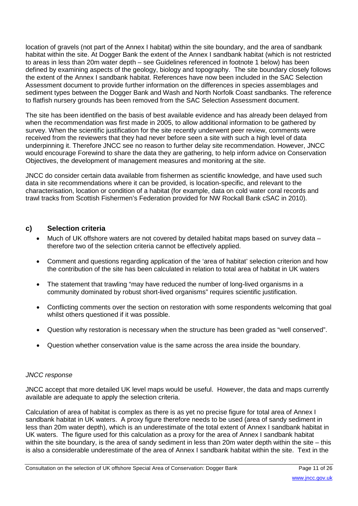location of gravels (not part of the Annex I habitat) within the site boundary, and the area of sandbank habitat within the site. At Dogger Bank the extent of the Annex I sandbank habitat (which is not restricted to areas in less than 20m water depth – see Guidelines referenced in footnote 1 below) has been defined by examining aspects of the geology, biology and topography. The site boundary closely follows the extent of the Annex I sandbank habitat. References have now been included in the SAC Selection Assessment document to provide further information on the differences in species assemblages and sediment types between the Dogger Bank and Wash and North Norfolk Coast sandbanks. The reference to flatfish nursery grounds has been removed from the SAC Selection Assessment document.

The site has been identified on the basis of best available evidence and has already been delayed from when the recommendation was first made in 2005, to allow additional information to be gathered by survey. When the scientific justification for the site recently underwent peer review, comments were received from the reviewers that they had never before seen a site with such a high level of data underpinning it. Therefore JNCC see no reason to further delay site recommendation. However, JNCC would encourage Forewind to share the data they are gathering, to help inform advice on Conservation Objectives, the development of management measures and monitoring at the site.

JNCC do consider certain data available from fishermen as scientific knowledge, and have used such data in site recommendations where it can be provided, is location-specific, and relevant to the characterisation, location or condition of a habitat (for example, data on cold water coral records and trawl tracks from Scottish Fishermen's Federation provided for NW Rockall Bank cSAC in 2010).

## **c) Selection criteria**

- Much of UK offshore waters are not covered by detailed habitat maps based on survey data therefore two of the selection criteria cannot be effectively applied.
- Comment and questions regarding application of the 'area of habitat' selection criterion and how the contribution of the site has been calculated in relation to total area of habitat in UK waters
- The statement that trawling "may have reduced the number of long-lived organisms in a community dominated by robust short-lived organisms" requires scientific justification.
- Conflicting comments over the section on restoration with some respondents welcoming that goal whilst others questioned if it was possible.
- Question why restoration is necessary when the structure has been graded as "well conserved".
- Question whether conservation value is the same across the area inside the boundary.

#### *JNCC response*

JNCC accept that more detailed UK level maps would be useful. However, the data and maps currently available are adequate to apply the selection criteria.

Calculation of area of habitat is complex as there is as yet no precise figure for total area of Annex I sandbank habitat in UK waters. A proxy figure therefore needs to be used (area of sandy sediment in less than 20m water depth), which is an underestimate of the total extent of Annex I sandbank habitat in UK waters. The figure used for this calculation as a proxy for the area of Annex I sandbank habitat within the site boundary, is the area of sandy sediment in less than 20m water depth within the site – this is also a considerable underestimate of the area of Annex I sandbank habitat within the site. Text in the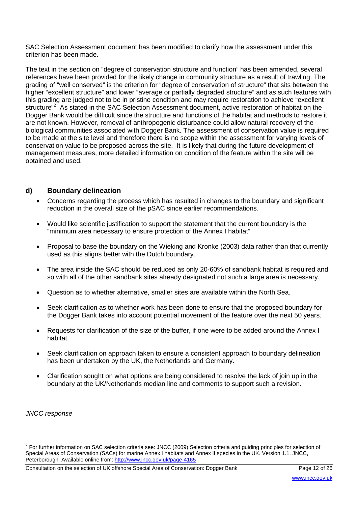SAC Selection Assessment document has been modified to clarify how the assessment under this criterion has been made.

The text in the section on "degree of conservation structure and function" has been amended, several references have been provided for the likely change in community structure as a result of trawling. The grading of "well conserved" is the criterion for "degree of conservation of structure" that sits between the higher "excellent structure" and lower "average or partially degraded structure" and as such features with this grading are judged not to be in pristine condition and may require restoration to achieve "excellent structure"<sup>[2](#page-11-0)</sup>. As stated in the SAC Selection Assessment document, active restoration of habitat on the Dogger Bank would be difficult since the structure and functions of the habitat and methods to restore it are not known. However, removal of anthropogenic disturbance could allow natural recovery of the biological communities associated with Dogger Bank. The assessment of conservation value is required to be made at the site level and therefore there is no scope within the assessment for varying levels of conservation value to be proposed across the site. It is likely that during the future development of management measures, more detailed information on condition of the feature within the site will be obtained and used.

## **d) Boundary delineation**

- Concerns regarding the process which has resulted in changes to the boundary and significant reduction in the overall size of the pSAC since earlier recommendations.
- Would like scientific justification to support the statement that the current boundary is the "minimum area necessary to ensure protection of the Annex I habitat".
- Proposal to base the boundary on the Wieking and Kronke (2003) data rather than that currently used as this aligns better with the Dutch boundary.
- The area inside the SAC should be reduced as only 20-60% of sandbank habitat is required and so with all of the other sandbank sites already designated not such a large area is necessary.
- Question as to whether alternative, smaller sites are available within the North Sea.
- Seek clarification as to whether work has been done to ensure that the proposed boundary for the Dogger Bank takes into account potential movement of the feature over the next 50 years.
- Requests for clarification of the size of the buffer, if one were to be added around the Annex I habitat.
- Seek clarification on approach taken to ensure a consistent approach to boundary delineation has been undertaken by the UK, the Netherlands and Germany.
- Clarification sought on what options are being considered to resolve the lack of join up in the boundary at the UK/Netherlands median line and comments to support such a revision.

*JNCC response*

 $\overline{a}$ 

<span id="page-11-0"></span> $2$  For further information on SAC selection criteria see: JNCC (2009) Selection criteria and guiding principles for selection of Special Areas of Conservation (SACs) for marine Annex I habitats and Annex II species in the UK. Version 1.1. JNCC, Peterborough. Available online from[: http://www.jncc.gov.uk/page-4165](http://www.jncc.gov.uk/page-4165)

Consultation on the selection of UK offshore Special Area of Conservation: Dogger Bank Page 12 of 26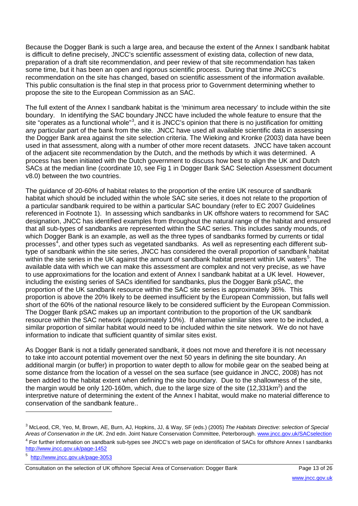Because the Dogger Bank is such a large area, and because the extent of the Annex I sandbank habitat is difficult to define precisely, JNCC's scientific assessment of existing data, collection of new data, preparation of a draft site recommendation, and peer review of that site recommendation has taken some time, but it has been an open and rigorous scientific process. During that time JNCC's recommendation on the site has changed, based on scientific assessment of the information available. This public consultation is the final step in that process prior to Government determining whether to propose the site to the European Commission as an SAC.

The full extent of the Annex I sandbank habitat is the 'minimum area necessary' to include within the site boundary. In identifying the SAC boundary JNCC have included the whole feature to ensure that the site "operates as a functional whole"<sup>[3](#page-12-0)</sup>, and it is JNCC's opinion that there is no justification for omitting any particular part of the bank from the site. JNCC have used all available scientific data in assessing the Dogger Bank area against the site selection criteria. The Wieking and Kronke (2003) data have been used in that assessment, along with a number of other more recent datasets. JNCC have taken account of the adjacent site recommendation by the Dutch, and the methods by which it was determined. A process has been initiated with the Dutch government to discuss how best to align the UK and Dutch SACs at the median line (coordinate 10, see Fig 1 in Dogger Bank SAC Selection Assessment document v8.0) between the two countries.

The guidance of 20-60% of habitat relates to the proportion of the entire UK resource of sandbank habitat which should be included within the whole SAC site series, it does not relate to the proportion of a particular sandbank required to be within a particular SAC boundary (refer to EC 2007 Guidelines referenced in Footnote 1). In assessing which sandbanks in UK offshore waters to recommend for SAC designation, JNCC has identified examples from throughout the natural range of the habitat and ensured that all sub-types of sandbanks are represented within the SAC series. This includes sandy mounds, of which Dogger Bank is an example, as well as the three types of sandbanks formed by currents or tidal processes<sup>[4](#page-12-0)</sup>, and other types such as vegetated sandbanks. As well as representing each different subtype of sandbank within the site series, JNCC has considered the overall proportion of sandbank habitat within the site series in the UK against the amount of sandbank habitat present within UK waters<sup>[5](#page-12-0)</sup>. The available data with which we can make this assessment are complex and not very precise, as we have to use approximations for the location and extent of Annex I sandbank habitat at a UK level. However, including the existing series of SACs identified for sandbanks, plus the Dogger Bank pSAC, the proportion of the UK sandbank resource within the SAC site series is approximately 36%. This proportion is above the 20% likely to be deemed insufficient by the European Commission, but falls well short of the 60% of the national resource likely to be considered sufficient by the European Commission. The Dogger Bank pSAC makes up an important contribution to the proportion of the UK sandbank resource within the SAC network (approximately 10%). If alternative similar sites were to be included, a similar proportion of similar habitat would need to be included within the site network. We do not have information to indicate that sufficient quantity of similar sites exist.

As Dogger Bank is not a tidally generated sandbank, it does not move and therefore it is not necessary to take into account potential movement over the next 50 years in defining the site boundary. An additional margin (or buffer) in proportion to water depth to allow for mobile gear on the seabed being at some distance from the location of a vessel on the sea surface (see guidance in JNCC, 2008) has not been added to the habitat extent when defining the site boundary. Due to the shallowness of the site, the margin would be only 120-160m, which, due to the large size of the site (12,331km<sup>2</sup>) and the interpretive nature of determining the extent of the Annex I habitat, would make no material difference to conservation of the sandbank feature..

 $\overline{a}$ 

<span id="page-12-0"></span><sup>3</sup> McLeod, CR, Yeo, M, Brown, AE, Burn, AJ, Hopkins, JJ, & Way, SF (eds.) (2005) *The Habitats Directive: selection of Special*  Areas of Conservation in the UK. 2nd edn. Joint Nature Conservation Committee, Peterborough. [www.jncc.gov.uk/SACselection](http://www.jncc.gov.uk/SACselection)

<sup>&</sup>lt;sup>4</sup> For further information on sandbank sub-types see JNCC's web page on identification of SACs for offshore Annex I sandbanks <http://www.jncc.gov.uk/page-1452>

<sup>5</sup> <http://www.jncc.gov.uk/page-3053>

Consultation on the selection of UK offshore Special Area of Conservation: Dogger Bank Page 13 of 26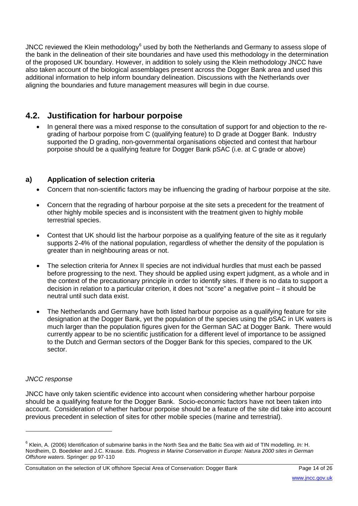JNCC reviewed the Klein methodology $^6$  $^6$  used by both the Netherlands and Germany to assess slope of the bank in the delineation of their site boundaries and have used this methodology in the determination of the proposed UK boundary. However, in addition to solely using the Klein methodology JNCC have also taken account of the biological assemblages present across the Dogger Bank area and used this additional information to help inform boundary delineation. Discussions with the Netherlands over aligning the boundaries and future management measures will begin in due course.

## **4.2. Justification for harbour porpoise**

• In general there was a mixed response to the consultation of support for and objection to the regrading of harbour porpoise from C (qualifying feature) to D grade at Dogger Bank. Industry supported the D grading, non-governmental organisations objected and contest that harbour porpoise should be a qualifying feature for Dogger Bank pSAC (i.e. at C grade or above)

## **a) Application of selection criteria**

- Concern that non-scientific factors may be influencing the grading of harbour porpoise at the site.
- Concern that the regrading of harbour porpoise at the site sets a precedent for the treatment of other highly mobile species and is inconsistent with the treatment given to highly mobile terrestrial species.
- Contest that UK should list the harbour porpoise as a qualifying feature of the site as it regularly supports 2-4% of the national population, regardless of whether the density of the population is greater than in neighbouring areas or not.
- The selection criteria for Annex II species are not individual hurdles that must each be passed before progressing to the next. They should be applied using expert judgment, as a whole and in the context of the precautionary principle in order to identify sites. If there is no data to support a decision in relation to a particular criterion, it does not "score" a negative point – it should be neutral until such data exist.
- The Netherlands and Germany have both listed harbour porpoise as a qualifying feature for site designation at the Dogger Bank, yet the population of the species using the pSAC in UK waters is much larger than the population figures given for the German SAC at Dogger Bank. There would currently appear to be no scientific justification for a different level of importance to be assigned to the Dutch and German sectors of the Dogger Bank for this species, compared to the UK sector.

### *JNCC response*

 $\overline{a}$ 

JNCC have only taken scientific evidence into account when considering whether harbour porpoise should be a qualifying feature for the Dogger Bank. Socio-economic factors have not been taken into account. Consideration of whether harbour porpoise should be a feature of the site did take into account previous precedent in selection of sites for other mobile species (marine and terrestrial).

<span id="page-13-0"></span><sup>6</sup> Klein, A. (2006) Identification of submarine banks in the North Sea and the Baltic Sea with aid of TIN modelling. *In:* H. Nordheim, D. Boedeker and J.C. Krause. Eds. *Progress in Marine Conservation in Europe: Natura 2000 sites in German Offshore waters*. Springer: pp 97-110

Consultation on the selection of UK offshore Special Area of Conservation: Dogger Bank Page 14 of 26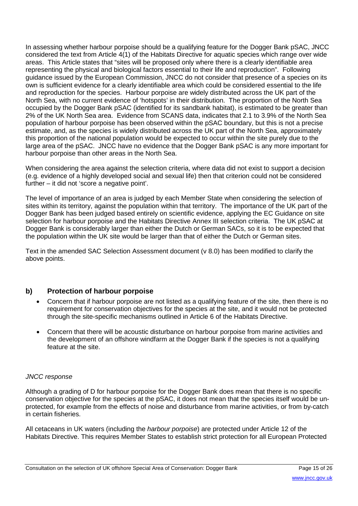In assessing whether harbour porpoise should be a qualifying feature for the Dogger Bank pSAC, JNCC considered the text from Article 4(1) of the Habitats Directive for aquatic species which range over wide areas. This Article states that "sites will be proposed only where there is a clearly identifiable area representing the physical and biological factors essential to their life and reproduction". Following guidance issued by the European Commission, JNCC do not consider that presence of a species on its own is sufficient evidence for a clearly identifiable area which could be considered essential to the life and reproduction for the species. Harbour porpoise are widely distributed across the UK part of the North Sea, with no current evidence of 'hotspots' in their distribution. The proportion of the North Sea occupied by the Dogger Bank pSAC (identified for its sandbank habitat), is estimated to be greater than 2% of the UK North Sea area. Evidence from SCANS data, indicates that 2.1 to 3.9% of the North Sea population of harbour porpoise has been observed within the pSAC boundary, but this is not a precise estimate, and, as the species is widely distributed across the UK part of the North Sea, approximately this proportion of the national population would be expected to occur within the site purely due to the large area of the pSAC. JNCC have no evidence that the Dogger Bank pSAC is any more important for harbour porpoise than other areas in the North Sea.

When considering the area against the selection criteria, where data did not exist to support a decision (e.g. evidence of a highly developed social and sexual life) then that criterion could not be considered further – it did not 'score a negative point'.

The level of importance of an area is judged by each Member State when considering the selection of sites within its territory, against the population within that territory. The importance of the UK part of the Dogger Bank has been judged based entirely on scientific evidence, applying the EC Guidance on site selection for harbour porpoise and the Habitats Directive Annex III selection criteria. The UK pSAC at Dogger Bank is considerably larger than either the Dutch or German SACs, so it is to be expected that the population within the UK site would be larger than that of either the Dutch or German sites.

Text in the amended SAC Selection Assessment document (v 8.0) has been modified to clarify the above points.

## **b) Protection of harbour porpoise**

- Concern that if harbour porpoise are not listed as a qualifying feature of the site, then there is no requirement for conservation objectives for the species at the site, and it would not be protected through the site-specific mechanisms outlined in Article 6 of the Habitats Directive.
- Concern that there will be acoustic disturbance on harbour porpoise from marine activities and the development of an offshore windfarm at the Dogger Bank if the species is not a qualifying feature at the site.

#### *JNCC response*

Although a grading of D for harbour porpoise for the Dogger Bank does mean that there is no specific conservation objective for the species at the pSAC, it does not mean that the species itself would be unprotected, for example from the effects of noise and disturbance from marine activities, or from by-catch in certain fisheries.

All cetaceans in UK waters (including the *harbour porpoise*) are protected under Article 12 of the Habitats Directive. This requires Member States to establish strict protection for all European Protected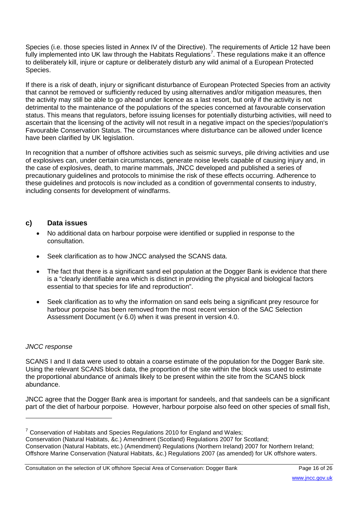Species (i.e. those species listed in Annex IV of the Directive). The requirements of Article 12 have been fully implemented into UK law through the Habitats Regulations<sup>[7](#page-15-0)</sup>. These regulations make it an offence to deliberately kill, injure or capture or deliberately disturb any wild animal of a European Protected Species.

If there is a risk of death, injury or significant disturbance of European Protected Species from an activity that cannot be removed or sufficiently reduced by using alternatives and/or mitigation measures, then the activity may still be able to go ahead under licence as a last resort, but only if the activity is not detrimental to the maintenance of the populations of the species concerned at favourable conservation status. This means that regulators, before issuing licenses for potentially disturbing activities, will need to ascertain that the licensing of the activity will not result in a negative impact on the species'/population's Favourable Conservation Status. The circumstances where disturbance can be allowed under licence have been clarified by UK legislation.

In recognition that a number of offshore activities such as seismic surveys, pile driving activities and use of explosives can, under certain circumstances, generate noise levels capable of causing injury and, in the case of explosives, death, to marine mammals, JNCC developed and published a series of precautionary guidelines and protocols to minimise the risk of these effects occurring. Adherence to these guidelines and protocols is now included as a condition of governmental consents to industry, including consents for development of windfarms.

#### **c) Data issues**

- No additional data on harbour porpoise were identified or supplied in response to the consultation.
- Seek clarification as to how JNCC analysed the SCANS data.
- The fact that there is a significant sand eel population at the Dogger Bank is evidence that there is a "clearly identifiable area which is distinct in providing the physical and biological factors essential to that species for life and reproduction".
- Seek clarification as to why the information on sand eels being a significant prey resource for harbour porpoise has been removed from the most recent version of the SAC Selection Assessment Document (v 6.0) when it was present in version 4.0.

#### *JNCC response*

 $\overline{a}$ 

SCANS I and II data were used to obtain a coarse estimate of the population for the Dogger Bank site. Using the relevant SCANS block data, the proportion of the site within the block was used to estimate the proportional abundance of animals likely to be present within the site from the SCANS block abundance.

JNCC agree that the Dogger Bank area is important for sandeels, and that sandeels can be a significant part of the diet of harbour porpoise. However, harbour porpoise also feed on other species of small fish,

<span id="page-15-0"></span> $7$  Conservation of Habitats and Species Regulations 2010 for England and Wales;

Conservation (Natural Habitats, &c.) Amendment (Scotland) Regulations 2007 for Scotland; Conservation (Natural Habitats, etc.) (Amendment) Regulations (Northern Ireland) 2007 for Northern Ireland; Offshore Marine Conservation (Natural Habitats, &c.) Regulations 2007 (as amended) for UK offshore waters.

Consultation on the selection of UK offshore Special Area of Conservation: Dogger Bank Page 16 of 26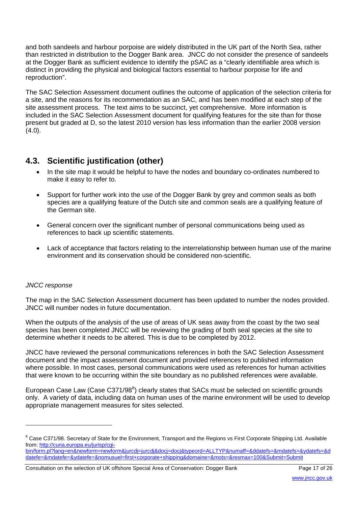and both sandeels and harbour porpoise are widely distributed in the UK part of the North Sea, rather than restricted in distribution to the Dogger Bank area. JNCC do not consider the presence of sandeels at the Dogger Bank as sufficient evidence to identify the pSAC as a "clearly identifiable area which is distinct in providing the physical and biological factors essential to harbour porpoise for life and reproduction".

The SAC Selection Assessment document outlines the outcome of application of the selection criteria for a site, and the reasons for its recommendation as an SAC, and has been modified at each step of the site assessment process. The text aims to be succinct, yet comprehensive. More information is included in the SAC Selection Assessment document for qualifying features for the site than for those present but graded at D, so the latest 2010 version has less information than the earlier 2008 version  $(4.0).$ 

## **4.3. Scientific justification (other)**

- In the site map it would be helpful to have the nodes and boundary co-ordinates numbered to make it easy to refer to.
- Support for further work into the use of the Dogger Bank by grey and common seals as both species are a qualifying feature of the Dutch site and common seals are a qualifying feature of the German site.
- General concern over the significant number of personal communications being used as references to back up scientific statements.
- Lack of acceptance that factors relating to the interrelationship between human use of the marine environment and its conservation should be considered non-scientific.

#### *JNCC response*

 $\overline{a}$ 

The map in the SAC Selection Assessment document has been updated to number the nodes provided. JNCC will number nodes in future documentation.

When the outputs of the analysis of the use of areas of UK seas away from the coast by the two seal species has been completed JNCC will be reviewing the grading of both seal species at the site to determine whether it needs to be altered. This is due to be completed by 2012.

JNCC have reviewed the personal communications references in both the SAC Selection Assessment document and the impact assessment document and provided references to published information where possible. In most cases, personal communications were used as references for human activities that were known to be occurring within the site boundary as no published references were available.

European Case Law (Case C371/9[8](#page-16-0)<sup>8</sup>) clearly states that SACs must be selected on scientific grounds only. A variety of data, including data on human uses of the marine environment will be used to develop appropriate management measures for sites selected.

<span id="page-16-0"></span><sup>&</sup>lt;sup>8</sup> Case C371/98. Secretary of State for the Environment, Transport and the Regions vs First Corporate Shipping Ltd. Available from: <u>http://curia.europa.eu/jurisp/cgi-</u> [bin/form.pl?lang=en&newform=newform&jurcdj=jurcdj&docj=docj&typeord=ALLTYP&numaff=&ddatefs=&mdatefs=&ydatefs=&d](http://curia.europa.eu/jurisp/cgi-bin/form.pl?lang=en&newform=newform&jurcdj=jurcdj&docj=docj&typeord=ALLTYP&numaff=&ddatefs=&mdatefs=&ydatefs=&ddatefe=&mdatefe=&ydatefe=&nomusuel=first+corporate+shipping&domaine=&mots=&resmax=100&Submit=Submit) [datefe=&mdatefe=&ydatefe=&nomusuel=first+corporate+shipping&domaine=&mots=&resmax=100&Submit=Submit](http://curia.europa.eu/jurisp/cgi-bin/form.pl?lang=en&newform=newform&jurcdj=jurcdj&docj=docj&typeord=ALLTYP&numaff=&ddatefs=&mdatefs=&ydatefs=&ddatefe=&mdatefe=&ydatefe=&nomusuel=first+corporate+shipping&domaine=&mots=&resmax=100&Submit=Submit)

Consultation on the selection of UK offshore Special Area of Conservation: Dogger Bank Page 17 of 26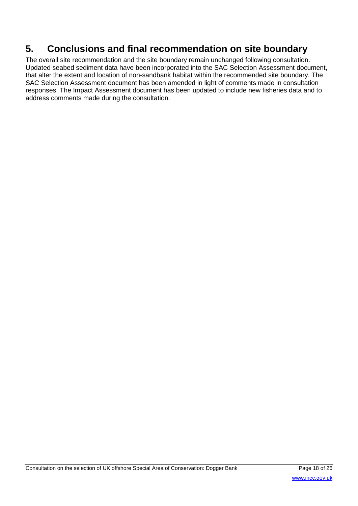# **5. Conclusions and final recommendation on site boundary**

The overall site recommendation and the site boundary remain unchanged following consultation. Updated seabed sediment data have been incorporated into the SAC Selection Assessment document, that alter the extent and location of non-sandbank habitat within the recommended site boundary. The SAC Selection Assessment document has been amended in light of comments made in consultation responses. The Impact Assessment document has been updated to include new fisheries data and to address comments made during the consultation.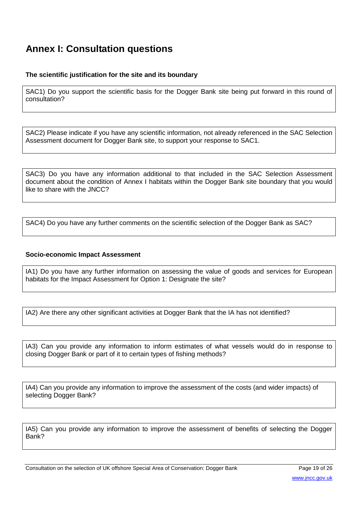# **Annex I: Consultation questions**

#### **The scientific justification for the site and its boundary**

SAC1) Do you support the scientific basis for the Dogger Bank site being put forward in this round of consultation?

SAC2) Please indicate if you have any scientific information, not already referenced in the SAC Selection Assessment document for Dogger Bank site, to support your response to SAC1.

SAC3) Do you have any information additional to that included in the SAC Selection Assessment document about the condition of Annex I habitats within the Dogger Bank site boundary that you would like to share with the JNCC?

SAC4) Do you have any further comments on the scientific selection of the Dogger Bank as SAC?

#### **Socio-economic Impact Assessment**

IA1) Do you have any further information on assessing the value of goods and services for European habitats for the Impact Assessment for Option 1: Designate the site?

IA2) Are there any other significant activities at Dogger Bank that the IA has not identified?

IA3) Can you provide any information to inform estimates of what vessels would do in response to closing Dogger Bank or part of it to certain types of fishing methods?

IA4) Can you provide any information to improve the assessment of the costs (and wider impacts) of selecting Dogger Bank?

IA5) Can you provide any information to improve the assessment of benefits of selecting the Dogger Bank?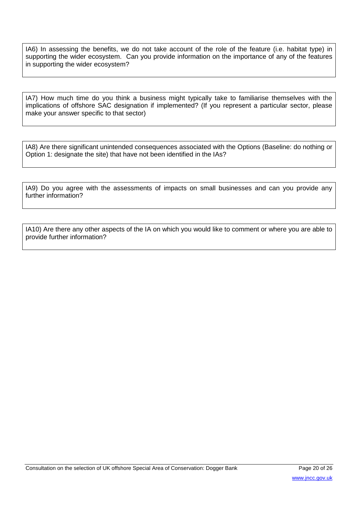IA6) In assessing the benefits, we do not take account of the role of the feature (i.e. habitat type) in supporting the wider ecosystem. Can you provide information on the importance of any of the features in supporting the wider ecosystem?

IA7) How much time do you think a business might typically take to familiarise themselves with the implications of offshore SAC designation if implemented? (If you represent a particular sector, please make your answer specific to that sector)

IA8) Are there significant unintended consequences associated with the Options (Baseline: do nothing or Option 1: designate the site) that have not been identified in the IAs?

IA9) Do you agree with the assessments of impacts on small businesses and can you provide any further information?

IA10) Are there any other aspects of the IA on which you would like to comment or where you are able to provide further information?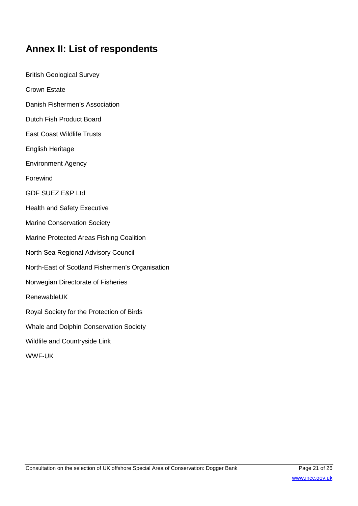# **Annex II: List of respondents**

British Geological Survey Crown Estate Danish Fishermen's Association Dutch Fish Product Board East Coast Wildlife Trusts English Heritage Environment Agency Forewind GDF SUEZ E&P Ltd Health and Safety Executive Marine Conservation Society Marine Protected Areas Fishing Coalition North Sea Regional Advisory Council North-East of Scotland Fishermen's Organisation Norwegian Directorate of Fisheries RenewableUK Royal Society for the Protection of Birds Whale and Dolphin Conservation Society Wildlife and Countryside Link WWF-UK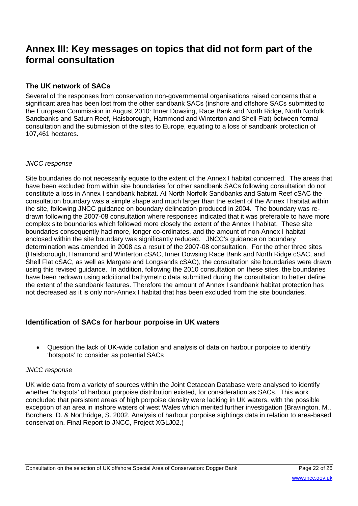## **Annex III: Key messages on topics that did not form part of the formal consultation**

## **The UK network of SACs**

Several of the responses from conservation non-governmental organisations raised concerns that a significant area has been lost from the other sandbank SACs (inshore and offshore SACs submitted to the European Commission in August 2010: Inner Dowsing, Race Bank and North Ridge, North Norfolk Sandbanks and Saturn Reef, Haisborough, Hammond and Winterton and Shell Flat) between formal consultation and the submission of the sites to Europe, equating to a loss of sandbank protection of 107,461 hectares.

### *JNCC response*

Site boundaries do not necessarily equate to the extent of the Annex I habitat concerned. The areas that have been excluded from within site boundaries for other sandbank SACs following consultation do not constitute a loss in Annex I sandbank habitat. At North Norfolk Sandbanks and Saturn Reef cSAC the consultation boundary was a simple shape and much larger than the extent of the Annex I habitat within the site, following JNCC guidance on boundary delineation produced in 2004. The boundary was redrawn following the 2007-08 consultation where responses indicated that it was preferable to have more complex site boundaries which followed more closely the extent of the Annex I habitat. These site boundaries consequently had more, longer co-ordinates, and the amount of non-Annex I habitat enclosed within the site boundary was significantly reduced. JNCC's guidance on boundary determination was amended in 2008 as a result of the 2007-08 consultation. For the other three sites (Haisborough, Hammond and Winterton cSAC, Inner Dowsing Race Bank and North Ridge cSAC, and Shell Flat cSAC, as well as Margate and Longsands cSAC), the consultation site boundaries were drawn using this revised guidance. In addition, following the 2010 consultation on these sites, the boundaries have been redrawn using additional bathymetric data submitted during the consultation to better define the extent of the sandbank features. Therefore the amount of Annex I sandbank habitat protection has not decreased as it is only non-Annex I habitat that has been excluded from the site boundaries.

## **Identification of SACs for harbour porpoise in UK waters**

• Question the lack of UK-wide collation and analysis of data on harbour porpoise to identify 'hotspots' to consider as potential SACs

### *JNCC response*

UK wide data from a variety of sources within the Joint Cetacean Database were analysed to identify whether 'hotspots' of harbour porpoise distribution existed, for consideration as SACs. This work concluded that persistent areas of high porpoise density were lacking in UK waters, with the possible exception of an area in inshore waters of west Wales which merited further investigation (Bravington, M., Borchers, D. & Northridge, S. 2002. Analysis of harbour porpoise sightings data in relation to area-based conservation. Final Report to JNCC, Project XGLJ02.)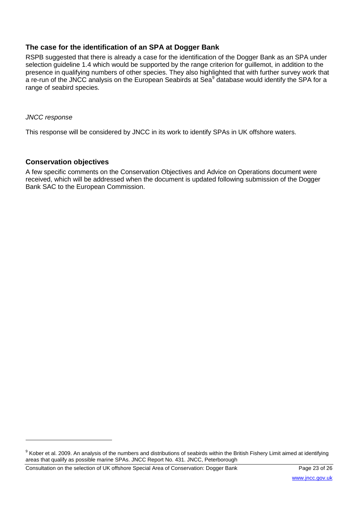## **The case for the identification of an SPA at Dogger Bank**

RSPB suggested that there is already a case for the identification of the Dogger Bank as an SPA under selection guideline 1.4 which would be supported by the range criterion for guillemot, in addition to the presence in qualifying numbers of other species. They also highlighted that with further survey work that a re-run of the JNCC analysis on the European Seabirds at Sea $^9$  $^9$  database would identify the SPA for a range of seabird species.

#### *JNCC response*

 $\overline{a}$ 

This response will be considered by JNCC in its work to identify SPAs in UK offshore waters.

#### **Conservation objectives**

A few specific comments on the Conservation Objectives and Advice on Operations document were received, which will be addressed when the document is updated following submission of the Dogger Bank SAC to the European Commission.

<span id="page-22-0"></span><sup>&</sup>lt;sup>9</sup> Kober et al. 2009. An analysis of the numbers and distributions of seabirds within the British Fishery Limit aimed at identifying areas that qualify as possible marine SPAs. JNCC Report No. 431. JNCC, Peterborough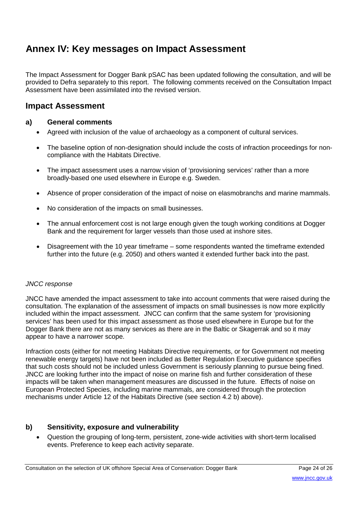# **Annex IV: Key messages on Impact Assessment**

The Impact Assessment for Dogger Bank pSAC has been updated following the consultation, and will be provided to Defra separately to this report. The following comments received on the Consultation Impact Assessment have been assimilated into the revised version.

## **Impact Assessment**

### **a) General comments**

- Agreed with inclusion of the value of archaeology as a component of cultural services.
- The baseline option of non-designation should include the costs of infraction proceedings for noncompliance with the Habitats Directive.
- The impact assessment uses a narrow vision of 'provisioning services' rather than a more broadly-based one used elsewhere in Europe e.g. Sweden.
- Absence of proper consideration of the impact of noise on elasmobranchs and marine mammals.
- No consideration of the impacts on small businesses.
- The annual enforcement cost is not large enough given the tough working conditions at Dogger Bank and the requirement for larger vessels than those used at inshore sites.
- Disagreement with the 10 year timeframe some respondents wanted the timeframe extended further into the future (e.g. 2050) and others wanted it extended further back into the past.

#### *JNCC response*

JNCC have amended the impact assessment to take into account comments that were raised during the consultation. The explanation of the assessment of impacts on small businesses is now more explicitly included within the impact assessment. JNCC can confirm that the same system for 'provisioning services' has been used for this impact assessment as those used elsewhere in Europe but for the Dogger Bank there are not as many services as there are in the Baltic or Skagerrak and so it may appear to have a narrower scope.

Infraction costs (either for not meeting Habitats Directive requirements, or for Government not meeting renewable energy targets) have not been included as Better Regulation Executive guidance specifies that such costs should not be included unless Government is seriously planning to pursue being fined. JNCC are looking further into the impact of noise on marine fish and further consideration of these impacts will be taken when management measures are discussed in the future. Effects of noise on European Protected Species, including marine mammals, are considered through the protection mechanisms under Article 12 of the Habitats Directive (see section 4.2 b) above).

## **b) Sensitivity, exposure and vulnerability**

• Question the grouping of long-term, persistent, zone-wide activities with short-term localised events. Preference to keep each activity separate.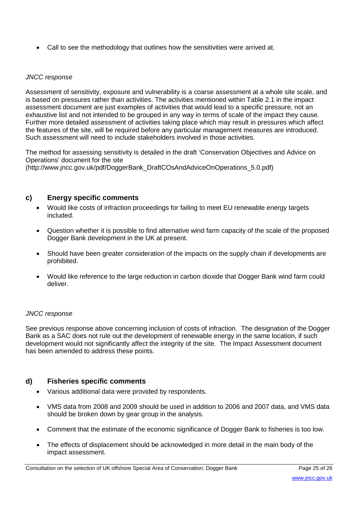• Call to see the methodology that outlines how the sensitivities were arrived at.

#### *JNCC response*

Assessment of sensitivity, exposure and vulnerability is a coarse assessment at a whole site scale, and is based on pressures rather than activities. The activities mentioned within Table 2.1 in the impact assessment document are just examples of activities that would lead to a specific pressure, not an exhaustive list and not intended to be grouped in any way in terms of scale of the impact they cause. Further more detailed assessment of activities taking place which may result in pressures which affect the features of the site, will be required before any particular management measures are introduced. Such assessment will need to include stakeholders involved in those activities.

The method for assessing sensitivity is detailed in the draft 'Conservation Objectives and Advice on Operations' document for the site (http://www.jncc.gov.uk/pdf/DoggerBank\_DraftCOsAndAdviceOnOperations\_5.0.pdf)

## **c) Energy specific comments**

- Would like costs of infraction proceedings for failing to meet EU renewable energy targets included.
- Question whether it is possible to find alternative wind farm capacity of the scale of the proposed Dogger Bank development in the UK at present.
- Should have been greater consideration of the impacts on the supply chain if developments are prohibited.
- Would like reference to the large reduction in carbon dioxide that Dogger Bank wind farm could deliver.

#### *JNCC response*

See previous response above concerning inclusion of costs of infraction. The designation of the Dogger Bank as a SAC does not rule out the development of renewable energy in the same location, if such development would not significantly affect the integrity of the site. The Impact Assessment document has been amended to address these points.

### **d) Fisheries specific comments**

- Various additional data were provided by respondents.
- VMS data from 2008 and 2009 should be used in addition to 2006 and 2007 data, and VMS data should be broken down by gear group in the analysis.
- Comment that the estimate of the economic significance of Dogger Bank to fisheries is too low.
- The effects of displacement should be acknowledged in more detail in the main body of the impact assessment.